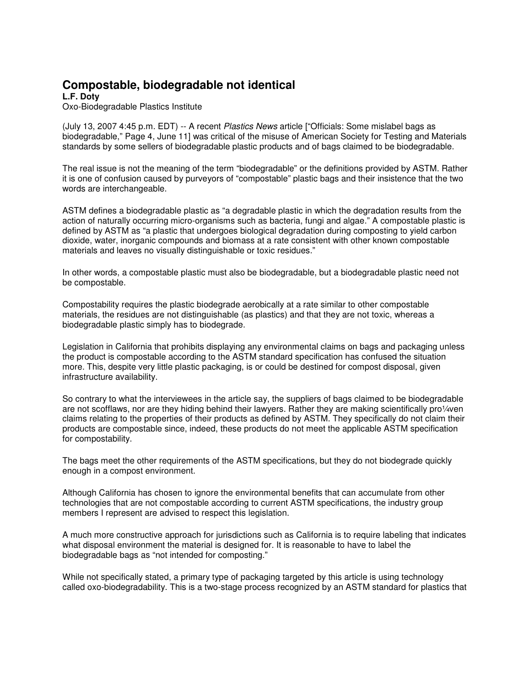## **Compostable, biodegradable not identical**

**L.F. Doty** Oxo-Biodegradable Plastics Institute

(July 13, 2007 4:45 p.m. EDT) -- A recent Plastics News article ["Officials: Some mislabel bags as biodegradable," Page 4, June 11] was critical of the misuse of American Society for Testing and Materials standards by some sellers of biodegradable plastic products and of bags claimed to be biodegradable.

The real issue is not the meaning of the term "biodegradable" or the definitions provided by ASTM. Rather it is one of confusion caused by purveyors of "compostable" plastic bags and their insistence that the two words are interchangeable.

ASTM defines a biodegradable plastic as "a degradable plastic in which the degradation results from the action of naturally occurring micro-organisms such as bacteria, fungi and algae." A compostable plastic is defined by ASTM as "a plastic that undergoes biological degradation during composting to yield carbon dioxide, water, inorganic compounds and biomass at a rate consistent with other known compostable materials and leaves no visually distinguishable or toxic residues."

In other words, a compostable plastic must also be biodegradable, but a biodegradable plastic need not be compostable.

Compostability requires the plastic biodegrade aerobically at a rate similar to other compostable materials, the residues are not distinguishable (as plastics) and that they are not toxic, whereas a biodegradable plastic simply has to biodegrade.

Legislation in California that prohibits displaying any environmental claims on bags and packaging unless the product is compostable according to the ASTM standard specification has confused the situation more. This, despite very little plastic packaging, is or could be destined for compost disposal, given infrastructure availability.

So contrary to what the interviewees in the article say, the suppliers of bags claimed to be biodegradable are not scofflaws, nor are they hiding behind their lawyers. Rather they are making scientifically pro¼ven claims relating to the properties of their products as defined by ASTM. They specifically do not claim their products are compostable since, indeed, these products do not meet the applicable ASTM specification for compostability.

The bags meet the other requirements of the ASTM specifications, but they do not biodegrade quickly enough in a compost environment.

Although California has chosen to ignore the environmental benefits that can accumulate from other technologies that are not compostable according to current ASTM specifications, the industry group members I represent are advised to respect this legislation.

A much more constructive approach for jurisdictions such as California is to require labeling that indicates what disposal environment the material is designed for. It is reasonable to have to label the biodegradable bags as "not intended for composting."

While not specifically stated, a primary type of packaging targeted by this article is using technology called oxo-biodegradability. This is a two-stage process recognized by an ASTM standard for plastics that